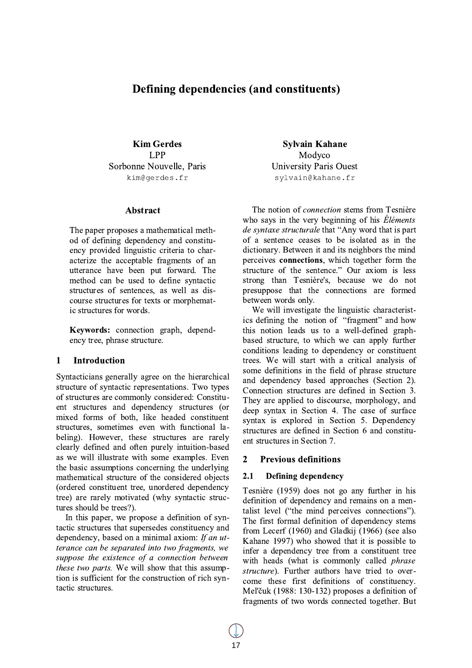# Defining dependencies (and constituents)

Kim Gerdes LPP Sorbonne Nouvelle, Paris kim@gerdes.fr

#### Abstract

The paper proposes a mathematical method of defining dependency and constituency provided linguistic criteria to characterize the acceptable fragments of an utterance have been put forward. The method can be used to define syntactic structures of sentences, as well as discourse structures for texts or morphematic structures for words.

Keywords: connection graph, dependency tree, phrase structure.

# 1 Introduction

Syntacticians generally agree on the hierarchical structure of syntactic representations. Two types of structures are commonly considered: Constituent structures and dependency structures (or mixed forms of both, like headed constituent structures, sometimes even with functional labeling). However, these structures are rarely clearly defined and often purely intuition-based as we will illustrate with some examples. Even the basic assumptions concerning the underlying mathematical structure of the considered objects (ordered constituent tree, unordered dependency tree) are rarely motivated (why syntactic structures should be trees?).

In this paper, we propose a definition of syntactic structures that supersedes constituency and dependency, based on a minimal axiom: If an utterance can be separated into two fragments, we suppose the existence of a connection between these two parts. We will show that this assumption is sufficient for the construction of rich syntactic structures.

Sylvain Kahane Modyco University Paris Ouest sylvain@kahane.fr

The notion of connection stems from Tesnière who says in the very beginning of his *Éléments* de syntaxe structurale that "Any word that is part of a sentence ceases to be isolated as in the dictionary. Between it and its neighbors the mind perceives connections, which together form the structure of the sentence." Our axiom is less strong than Tesnière's, because we do not presuppose that the connections are formed between words only.

We will investigate the linguistic characteristics defining the notion of "fragment" and how this notion leads us to a well-defined graphbased structure, to which we can apply further conditions leading to dependency or constituent trees. We will start with a critical analysis of some definitions in the field of phrase structure and dependency based approaches (Section 2). Connection structures are defined in Section 3. They are applied to discourse, morphology, and deep syntax in Section 4. The case of surface syntax is explored in Section 5. Dependency structures are defined in Section 6 and constituent structures in Section 7.

#### 2 Previous definitions

#### 2.1 Defining dependency

Tesnière (1959) does not go any further in his definition of dependency and remains on a mentalist level ("the mind perceives connections"). The first formal definition of dependency stems from Lecerf (1960) and Gladkij (1966) (see also Kahane 1997) who showed that it is possible to infer a dependency tree from a constituent tree with heads (what is commonly called *phrase* structure). Further authors have tried to overcome these first definitions of constituency. Mel'čuk (1988: 130-132) proposes a definition of fragments of two words connected together. But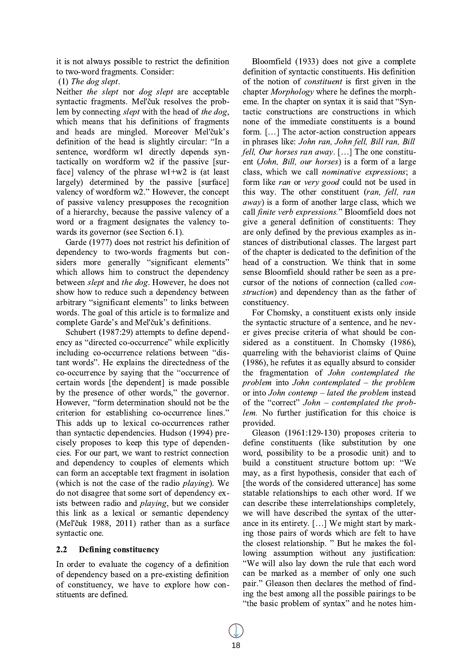it is not always possible to restrict the definition to two-word fragments. Consider:

(1) The dog slept.

Neither the slept nor dog slept are acceptable syntactic fragments. Mel'čuk resolves the problem by connecting *slept* with the head of the dog, which means that his definitions of fragments and heads are mingled. Moreover Mel'čuk's definition of the head is slightly circular: "In a sentence, wordform w1 directly depends syntactically on wordform w2 if the passive [surface] valency of the phrase  $w1+w2$  is (at least largely) determined by the passive [surface] valency of wordform w2." However, the concept of passive valency presupposes the recognition of a hierarchy, because the passive valency of a word or a fragment designates the valency towards its governor (see Section 6.1).

Garde (1977) does not restrict his definition of dependency to two-words fragments but considers more generally "significant elements" which allows him to construct the dependency between slept and the dog. However, he does not show how to reduce such a dependency between arbitrary "significant elements" to links between words. The goal of this article is to formalize and complete Garde's and Mel'čuk's definitions.

Schubert (1987:29) attempts to define dependency as "directed co-occurrence" while explicitly including co-occurrence relations between "distant words". He explains the directedness of the co-occurrence by saying that the "occurrence of certain words [the dependent] is made possible by the presence of other words," the governor. However, "form determination should not be the criterion for establishing co-occurrence lines. This adds up to lexical co-occurrences rather than syntactic dependencies. Hudson (1994) precisely proposes to keep this type of dependencies. For our part, we want to restrict connection and dependency to couples of elements which can form an acceptable text fragment in isolation (which is not the case of the radio playing). We do not disagree that some sort of dependency exists between radio and *playing*, but we consider this link as a lexical or semantic dependency  $(Mel'$ čuk 1988, 2011) rather than as a surface syntactic one.

# 2.2 Defining constituency

In order to evaluate the cogency of a definition of dependency based on a pre-existing definition of constituency, we have to explore how constituents are defined.

Bloomfield (1933) does not give a complete definition of syntactic constituents. His definition of the notion of constituent is first given in the chapter Morphology where he defines the morpheme. In the chapter on syntax it is said that "Syntactic constructions are constructions in which none of the immediate constituents is a bound form. [...] The actor-action construction appears in phrases like: John ran, John fell, Bill ran, Bill fell, Our horses ran away.  $[...]$  The one constituent (John, Bill, our horses) is a form of a large class, which we call nominative expressions; a form like ran or very good could not be used in this way. The other constituent (ran, fell, ran away) is a form of another large class, which we call *finite verb expressions*." Bloomfield does not give a general definition of constituents: They are only defined by the previous examples as instances of distributional classes. The largest part of the chapter is dedicated to the definition of the head of a construction. We think that in some sense Bloomfield should rather be seen as a precursor of the notions of connection (called construction) and dependency than as the father of constituency.

For Chomsky, a constituent exists only inside the syntactic structure of a sentence, and he never gives precise criteria of what should be considered as a constituent. In Chomsky (1986), quarreling with the behaviorist claims of Quine (1986), he refutes it as equally absurd to consider the fragmentation of John contemplated the problem into John contemplated  $-$  the problem or into John contemp  $-$  lated the problem instead of the "correct"  $John - contemplated$  the problem. No further justification for this choice is provided.

Gleason (1961:129-130) proposes criteria to define constituents (like substitution by one word, possibility to be a prosodic unit) and to build a constituent structure bottom up: We may, as a first hypothesis, consider that each of [the words of the considered utterance] has some statable relationships to each other word. If we can describe these interrelationships completely, we will have described the syntax of the utterance in its entirety.  $[...]$  We might start by marking those pairs of words which are felt to have the closest relationship. " But he makes the following assumption without any justification: We will also lay down the rule that each word can be marked as a member of only one such pair." Gleason then declares the method of finding the best among all the possible pairings to be "the basic problem of syntax" and he notes him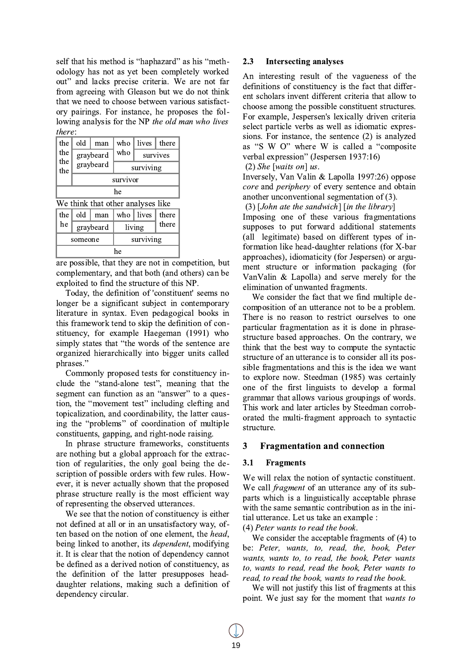self that his method is "haphazard" as his "methodology has not as yet been completely worked out" and lacks precise criteria. We are not far from agreeing with Gleason but we do not think that we need to choose between various satisfactory pairings. For instance, he proposes the following analysis for the NP the old man who lives there:

| the                               | old                    | man | who       |          | lives $\vert$ there |  |  |  |
|-----------------------------------|------------------------|-----|-----------|----------|---------------------|--|--|--|
| the<br>the                        | graybeard<br>graybeard |     | who       | survives |                     |  |  |  |
| the                               |                        |     | surviving |          |                     |  |  |  |
|                                   | survivor               |     |           |          |                     |  |  |  |
| he                                |                        |     |           |          |                     |  |  |  |
| We think that other analyses like |                        |     |           |          |                     |  |  |  |
| the                               | old                    | man | who       | lives    | there               |  |  |  |
|                                   |                        |     |           |          | $\mathbf{1}$        |  |  |  |

|         | $\cdots$  | . |           | . | ulvi v |  |  |  |
|---------|-----------|---|-----------|---|--------|--|--|--|
| he      | graybeard |   | living    |   | there  |  |  |  |
|         |           |   |           |   |        |  |  |  |
| someone |           |   | surviving |   |        |  |  |  |
| he      |           |   |           |   |        |  |  |  |

are possible, that they are not in competition, but complementary, and that both (and others) can be exploited to find the structure of this NP.

Today, the definition of 'constituent' seems no longer be a significant subject in contemporary literature in syntax. Even pedagogical books in this framework tend to skip the definition of constituency, for example Haegeman (1991) who simply states that "the words of the sentence are organized hierarchically into bigger units called phrases.

Commonly proposed tests for constituency include the "stand-alone test", meaning that the segment can function as an "answer" to a question, the "movement test" including clefting and topicalization, and coordinability, the latter causing the "problems" of coordination of multiple constituents, gapping, and right-node raising.

In phrase structure frameworks, constituents are nothing but a global approach for the extraction of regularities, the only goal being the description of possible orders with few rules. However, it is never actually shown that the proposed phrase structure really is the most efficient way of representing the observed utterances.

We see that the notion of constituency is either not defined at all or in an unsatisfactory way, often based on the notion of one element, the head, being linked to another, its *dependent*, modifying it. It is clear that the notion of dependency cannot be defined as a derived notion of constituency, as the definition of the latter presupposes headdaughter relations, making such a definition of dependency circular.

### 2.3 Intersecting analyses

An interesting result of the vagueness of the definitions of constituency is the fact that different scholars invent different criteria that allow to choose among the possible constituent structures. For example, Jespersen's lexically driven criteria select particle verbs as well as idiomatic expressions. For instance, the sentence (2) is analyzed as "S W O" where W is called a "composite verbal expression" (Jespersen 1937:16) (2) She [waits on] us.

Inversely, Van Valin & Lapolla 1997:26) oppose core and periphery of every sentence and obtain another unconventional segmentation of (3).

(3) [John ate the sandwich] [in the library]

Imposing one of these various fragmentations supposes to put forward additional statements (all legitimate) based on different types of information like head-daughter relations (for X-bar approaches), idiomaticity (for Jespersen) or argument structure or information packaging (for VanValin & Lapolla) and serve merely for the elimination of unwanted fragments.

We consider the fact that we find multiple decomposition of an utterance not to be a problem. There is no reason to restrict ourselves to one particular fragmentation as it is done in phrasestructure based approaches. On the contrary, we think that the best way to compute the syntactic structure of an utterance is to consider all its possible fragmentations and this is the idea we want to explore now. Steedman (1985) was certainly one of the first linguists to develop a formal grammar that allows various groupings of words. This work and later articles by Steedman corroborated the multi-fragment approach to syntactic structure.

# 3 Fragmentation and connection

#### 3.1 Fragments

We will relax the notion of syntactic constituent. We call *fragment* of an utterance any of its subparts which is a linguistically acceptable phrase with the same semantic contribution as in the initial utterance. Let us take an example :

(4) Peter wants to read the book.

We consider the acceptable fragments of (4) to be: Peter, wants, to, read, the, book, Peter wants, wants to, to read, the book, Peter wants to, wants to read, read the book, Peter wants to read, to read the book, wants to read the book.

We will not justify this list of fragments at this point. We just say for the moment that wants to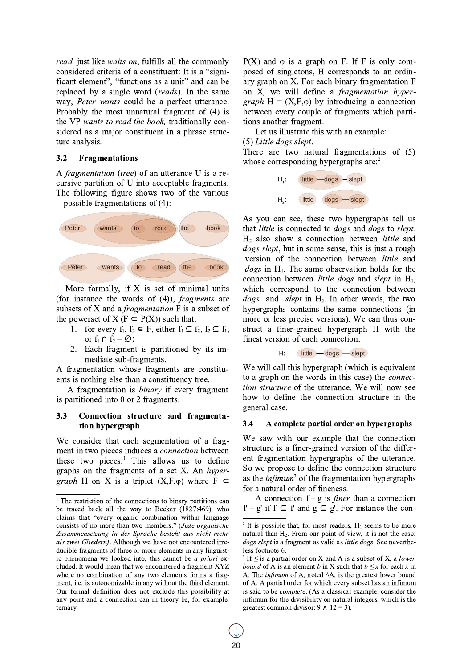read, just like waits on, fulfills all the commonly considered criteria of a constituent: It is a "significant element", "functions as a unit" and can be replaced by a single word (reads). In the same way, Peter wants could be a perfect utterance. Probably the most unnatural fragment of (4) is the VP wants to read the book, traditionally considered as a major constituent in a phrase structure analysis.

#### 3.2 Fragmentations

A fragmentation (tree) of an utterance U is a recursive partition of U into acceptable fragments. The following figure shows two of the various





More formally, if  $X$  is set of minimal units (for instance the words of (4)), fragments are subsets of  $X$  and a *fragmentation*  $F$  is a subset of the powerset of  $X$  ( $F \subset P(X)$ ) such that:

- 1. for every  $f_1, f_2 \in F$ , either  $f_1 \subseteq f_2, f_2 \subseteq f_1$ , or  $f_1 \cap f_2 = \emptyset$ ;
- 2. Each fragment is partitioned by its immediate sub-fragments.

A fragmentation whose fragments are constituents is nothing else than a constituency tree.

A fragmentation is binary if every fragment is partitioned into 0 or 2 fragments.

### 3.3 Connection structure and fragmentation hypergraph

We consider that each segmentation of a fragment in two pieces induces a connection between these two pieces.<sup>1</sup> This allows us to define graphs on the fragments of a set X. An hyper*graph* H on X is a triplet  $(X, F, \varphi)$  where F  $\subset$ 

 $P(X)$  and  $\varphi$  is a graph on F. If F is only composed of singletons, H corresponds to an ordinary graph on X. For each binary fragmentation F on X, we will define a fragmentation hyper*graph*  $H = (X, F, \varphi)$  by introducing a connection between every couple of fragments which partitions another fragment.

Let us illustrate this with an example: (5) Little dogs slept.

There are two natural fragmentations of (5) whose corresponding hypergraphs are:<sup>2</sup>



As you can see, these two hypergraphs tell us that little is connected to dogs and dogs to slept.  $H<sub>2</sub>$  also show a connection between *little* and dogs slept, but in some sense, this is just a rough version of the connection between little and  $dogs$  in  $H<sub>1</sub>$ . The same observation holds for the connection between *little dogs* and *slept* in  $H_1$ , which correspond to the connection between  $dogs$  and *slept* in  $H_2$ . In other words, the two hypergraphs contains the same connections (in more or less precise versions). We can thus construct a finer-grained hypergraph H with the finest version of each connection:

> little - dogs - slept  $H:$

We will call this hypergraph (which is equivalent to a graph on the words in this case) the connection structure of the utterance. We will now see how to define the connection structure in the general case.

# 3.4 A complete partial order on hypergraphs

We saw with our example that the connection structure is a finer-grained version of the different fragmentation hypergraphs of the utterance. So we propose to define the connection structure as the *infimum*<sup>3</sup> of the fragmentation hypergraphs for a natural order of fineness.

A connection  $f - g$  is *finer* than a connection  $f - g'$  if  $f \subseteq f'$  and  $g \subseteq g'$ . For instance the con-

<sup>&</sup>lt;sup>1</sup> The restriction of the connections to binary partitions can be traced back all the way to Becker (1827:469), who claims that "every organic combination within language consists of no more than two members." (Jede organische Zusammensetzung in der Sprache besteht aus nicht mehr als zwei Gliedern). Although we have not encountered irreducible fragments of three or more elements in any linguistic phenomena we looked into, this cannot be  $a$  priori excluded. It would mean that we encountered a fragment XYZ where no combination of any two elements forms a fragment, i.e. is autonomizable in any without the third element. Our formal definition does not exclude this possibility at any point and a connection can in theory be, for example, ternary.

 $2$  It is possible that, for most readers,  $H_1$  seems to be more natural than H2. From our point of view, it is not the case: dogs slept is a fragment as valid as little dogs. See nevertheless footnote 6.

<sup>&</sup>lt;sup>3</sup> If  $\leq$  is a partial order on X and A is a subset of X, a *lower bound* of A is an element *b* in X such that  $b \leq x$  for each *x* in A. The *infimum* of A, noted  $\land$ A, is the greatest lower bound of A. A partial order for which every subset has an infimum is said to be complete. (As a classical example, consider the infimum for the divisibility on natural integers, which is the greatest common divisor:  $9 \land 12 = 3$ ).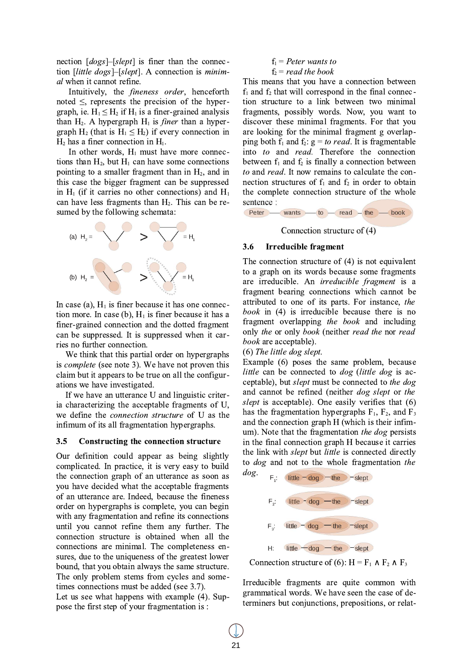nection  $[dogs]$ - $[slept]$  is finer than the connection [little dogs]-[slept]. A connection is minimal when it cannot refine.

Intuitively, the fineness order, henceforth noted  $\leq$ , represents the precision of the hypergraph, ie.  $H_1 \leq H_2$  if  $H_1$  is a finer-grained analysis than  $H_2$ . A hypergraph  $H_1$  is *finer* than a hypergraph  $H_2$  (that is  $H_1 \leq H_2$ ) if every connection in  $H_2$  has a finer connection in  $H_1$ .

In other words,  $H_1$  must have more connections than  $H_2$ , but  $H_1$  can have some connections pointing to a smaller fragment than in  $H<sub>2</sub>$ , and in this case the bigger fragment can be suppressed in  $H_1$  (if it carries no other connections) and  $H_1$ can have less fragments than  $H_2$ . This can be resumed by the following schemata:



In case (a),  $H_1$  is finer because it has one connection more. In case (b),  $H_1$  is finer because it has a finer-grained connection and the dotted fragment can be suppressed. It is suppressed when it carries no further connection.

We think that this partial order on hypergraphs is complete (see note 3). We have not proven this claim but it appears to be true on all the configurations we have investigated.

If we have an utterance U and linguistic criteria characterizing the acceptable fragments of U, we define the connection structure of U as the infimum of its all fragmentation hypergraphs.

#### 3.5 Constructing the connection structure

Our definition could appear as being slightly complicated. In practice, it is very easy to build the connection graph of an utterance as soon as you have decided what the acceptable fragments of an utterance are. Indeed, because the fineness order on hypergraphs is complete, you can begin with any fragmentation and refine its connections until you cannot refine them any further. The connection structure is obtained when all the connections are minimal. The completeness ensures, due to the uniqueness of the greatest lower bound, that you obtain always the same structure. The only problem stems from cycles and sometimes connections must be added (see 3.7).

Let us see what happens with example (4). Suppose the first step of your fragmentation is :

$$
f_1 = Peter
$$
 wants to  
 $f_2 = read the book$ 

This means that you have a connection between  $f_1$  and  $f_2$  that will correspond in the final connection structure to a link between two minimal fragments, possibly words. Now, you want to discover these minimal fragments. For that you are looking for the minimal fragment g overlapping both  $f_1$  and  $f_2$ :  $g = to read$ . It is fragmentable into to and read. Therefore the connection between  $f_1$  and  $f_2$  is finally a connection between to and *read*. It now remains to calculate the connection structures of  $f_1$  and  $f_2$  in order to obtain the complete connection structure of the whole sentence:

Peter  $-$  wants  $-$  to  $-$  read  $-$  the  $-$  book

Connection structure of (4)

#### 3.6 Irreducible fragment

The connection structure of (4) is not equivalent to a graph on its words because some fragments are irreducible. An irreducible fragment is a fragment bearing connections which cannot be attributed to one of its parts. For instance, the book in (4) is irreducible because there is no fragment overlapping the book and including only the or only book (neither read the nor read book are acceptable).

(6) The little dog slept.

Example (6) poses the same problem, because little can be connected to *dog* (little *dog* is acceptable), but slept must be connected to the dog and cannot be refined (neither dog slept or the slept is acceptable). One easily verifies that (6) has the fragmentation hypergraphs  $F_1$ ,  $F_2$ , and  $F_3$ and the connection graph H (which is their infimum). Note that the fragmentation the dog persists in the final connection graph H because it carries the link with *slept* but *little* is connected directly to dog and not to the whole fragmentation the



Connection structure of (6):  $H = F_1 \wedge F_2 \wedge F_3$ 

Irreducible fragments are quite common with grammatical words. We have seen the case of determiners but conjunctions, prepositions, or relat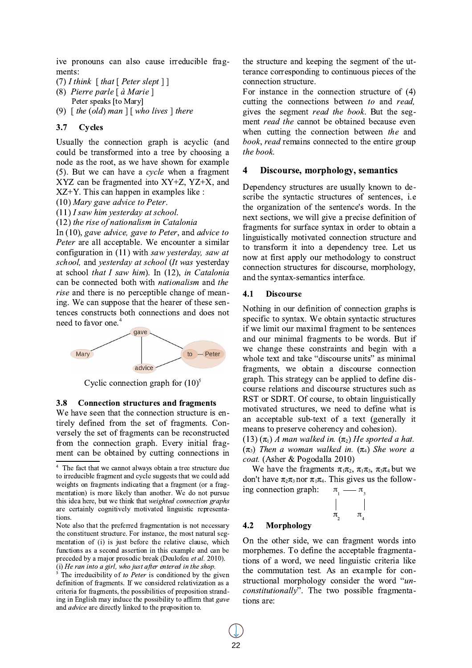ive pronouns can also cause irreducible fragments:

- (7) I think  $\lceil$  that  $\lceil$  Peter slept  $\rceil$   $\rceil$
- (8) Pierre parle [ à Marie ]
- Peter speaks [to Mary]
- (9)  $\lceil$  the (old) man  $\rceil$   $\lceil$  who lives  $\rceil$  there

# 3.7 Cycles

Usually the connection graph is acyclic (and could be transformed into a tree by choosing a node as the root, as we have shown for example (5). But we can have a cycle when a fragment XYZ can be fragmented into XY+Z, YZ+X, and XZ+Y. This can happen in examples like :

(10) Mary gave advice to Peter.

 $(11)$  I saw him yesterday at school.

(12) the rise of nationalism in Catalonia

In (10), gave advice, gave to Peter, and advice to Peter are all acceptable. We encounter a similar configuration in (11) with saw yesterday, saw at school, and vesterday at school (It was yesterday at school that I saw him). In (12), in Catalonia can be connected both with nationalism and the rise and there is no perceptible change of meaning. We can suppose that the hearer of these sentences constructs both connections and does not need to favor one.<sup>4</sup>



Cyclic connection graph for  $(10)^5$ 

# 3.8 Connection structures and fragments

We have seen that the connection structure is entirely defined from the set of fragments. Conversely the set of fragments can be reconstructed from the connection graph. Every initial fragment can be obtained by cutting connections in the structure and keeping the segment of the utterance corresponding to continuous pieces of the connection structure.

For instance in the connection structure of (4) cutting the connections between to and read, gives the segment read the book. But the segment *read the* cannot be obtained because even when cutting the connection between *the* and book, read remains connected to the entire group the book.

# 4 Discourse, morphology, semantics

Dependency structures are usually known to describe the syntactic structures of sentences, i.e the organization of the sentence's words. In the next sections, we will give a precise definition of fragments for surface syntax in order to obtain a linguistically motivated connection structure and to transform it into a dependency tree. Let us now at first apply our methodology to construct connection structures for discourse, morphology, and the syntax-semantics interface.

### 4.1 Discourse

Nothing in our definition of connection graphs is specific to syntax. We obtain syntactic structures if we limit our maximal fragment to be sentences and our minimal fragments to be words. But if we change these constraints and begin with a whole text and take "discourse units" as minimal fragments, we obtain a discourse connection graph. This strategy can be applied to define discourse relations and discourse structures such as RST or SDRT. Of course, to obtain linguistically motivated structures, we need to define what is an acceptable sub-text of a text (generally it means to preserve coherency and cohesion).

(13)  $(\pi_1)$  A man walked in.  $(\pi_2)$  He sported a hat.  $(\pi_3)$  Then a woman walked in.  $(\pi_4)$  She wore a coat. (Asher & Pogodalla 2010)

We have the fragments  $\pi_1 \pi_2$ ,  $\pi_1 \pi_3$ ,  $\pi_3 \pi_4$  but we don't have  $\pi_2 \pi_3$  nor  $\pi_1 \pi_4$ . This gives us the following connection graph:  $\pi$  –  $-\pi$ 

2 4

# 4.2 Morphology

On the other side, we can fragment words into morphemes. To define the acceptable fragmentations of a word, we need linguistic criteria like the commutation test. As an example for constructional morphology consider the word " $un$  $constitutionally$ ". The two possible fragmentations are:

<sup>4</sup> The fact that we cannot always obtain a tree structure due to irreducible fragment and cycle suggests that we could add weights on fragments indicating that a fragment (or a fragmentation) is more likely than another. We do not pursue this idea here, but we think that weighted connection graphs are certainly cognitively motivated linguistic representations.

Note also that the preferred fragmentation is not necessary the constituent structure. For instance, the most natural segmentation of (i) is just before the relative clause, which functions as a second assertion in this example and can be preceded by a major prosodic break (Deulofeu et al. 2010). (i) He ran into a girl, who just after entered in the shop.

<sup>5</sup> The irreducibility of to Peter is conditioned by the given definition of fragments. If we considered relativization as a criteria for fragments, the possibilities of preposition stranding in English may induce the possibility to affirm that gave and advice are directly linked to the preposition to.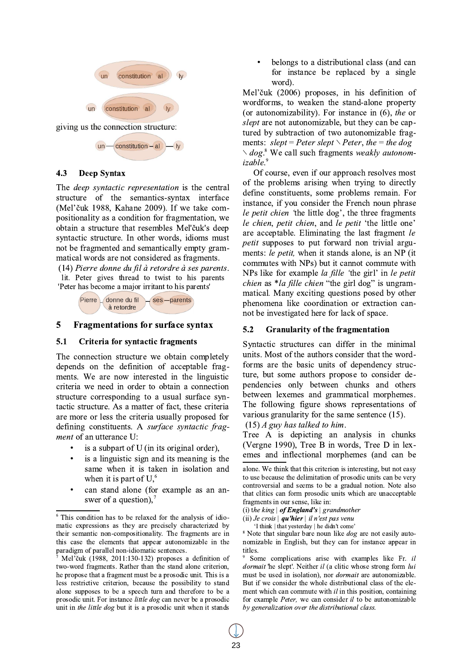



# 4.3 Deep Syntax

The *deep syntactic representation* is the central structure of the semantics-syntax interface (Mel'čuk 1988, Kahane 2009). If we take compositionality as a condition for fragmentation, we obtain a structure that resembles Mel'čuk's deep syntactic structure. In other words, idioms must not be fragmented and semantically empty grammatical words are not considered as fragments.

(14) Pierre donne du fil à retordre à ses parents. lit. Peter gives thread to twist to his parents 'Peter has become a major irritant to his parents'



### 5 Fragmentations for surface syntax

#### 5.1 Criteria for syntactic fragments

The connection structure we obtain completely depends on the definition of acceptable fragments. We are now interested in the linguistic criteria we need in order to obtain a connection structure corresponding to a usual surface syntactic structure. As a matter of fact, these criteria are more or less the criteria usually proposed for defining constituents. A *surface syntactic frag*ment of an utterance U:

- is a subpart of U (in its original order),
- is a linguistic sign and its meaning is the same when it is taken in isolation and when it is part of  $U<sup>6</sup>$
- can stand alone (for example as an answer of a question), $<sup>7</sup>$ </sup>

 belongs to a distributional class (and can for instance be replaced by a single word).

Mel'čuk (2006) proposes, in his definition of wordforms, to weaken the stand-alone property (or autonomizability). For instance in (6), the or slept are not autonomizable, but they can be captured by subtraction of two autonomizable fragments:  $slept = Peter$   $slept \setminus Peter$ , the = the dog  $\setminus$  dog.<sup>8</sup> We call such fragments weakly autonomizable. 9

Of course, even if our approach resolves most of the problems arising when trying to directly define constituents, some problems remain. For instance, if you consider the French noun phrase le petit chien 'the little dog', the three fragments le chien, petit chien, and le petit 'the little one' are acceptable. Eliminating the last fragment le petit supposes to put forward non trivial arguments: le petit, when it stands alone, is an NP (it commutes with NPs) but it cannot commute with NPs like for example  $la$  fille 'the girl' in  $le$  petit *chien* as  $*la$  *fille chien* "the girl dog" is ungrammatical. Many exciting questions posed by other phenomena like coordination or extraction cannot be investigated here for lack of space.

### 5.2 Granularity of the fragmentation

Syntactic structures can differ in the minimal units. Most of the authors consider that the wordforms are the basic units of dependency structure, but some authors propose to consider dependencies only between chunks and others between lexemes and grammatical morphemes. The following figure shows representations of various granularity for the same sentence (15).

 $(15)$  A guy has talked to him.

Tree A is depicting an analysis in chunks (Vergne 1990), Tree B in words, Tree D in lexemes and inflectional morphemes (and can be

<sup>6</sup> This condition has to be relaxed for the analysis of idiomatic expressions as they are precisely characterized by their semantic non-compositionality. The fragments are in this case the elements that appear autonomizable in the paradigm of parallel non-idiomatic sentences.

<sup>7</sup> Mel'čuk (1988, 2011:130-132) proposes a definition of two-word fragments. Rather than the stand alone criterion, he propose that a fragment must be a prosodic unit. This is a less restrictive criterion, because the possibility to stand alone supposes to be a speech turn and therefore to be a prosodic unit. For instance little dog can never be a prosodic unit in the little dog but it is a prosodic unit when it stands

alone. We think that this criterion is interesting, but not easy to use because the delimitation of prosodic units can be very controversial and seems to be a gradual notion. Note also that clitics can form prosodic units which are unacceptable fragments in our sense, like in:

<sup>(</sup>i) the king  $\vert$  of **England's**  $\vert$  grandmother

<sup>(</sup>ii) Je crois  $|$  qu'hier  $|$  il n'est pas venu

I think | that yesterday | he didn't come

<sup>&</sup>lt;sup>8</sup> Note that singular bare noun like *dog* are not easily autonomizable in English, but they can for instance appear in titles.

<sup>9</sup> Some complications arise with examples like Fr. il dormait 'he slept'. Neither il (a clitic whose strong form lui must be used in isolation), nor dormait are autonomizable. But if we consider the whole distributional class of the element which can commute with  $il$  in this position, containing for example Peter, we can consider il to be autonomizable by generalization over the distributional class.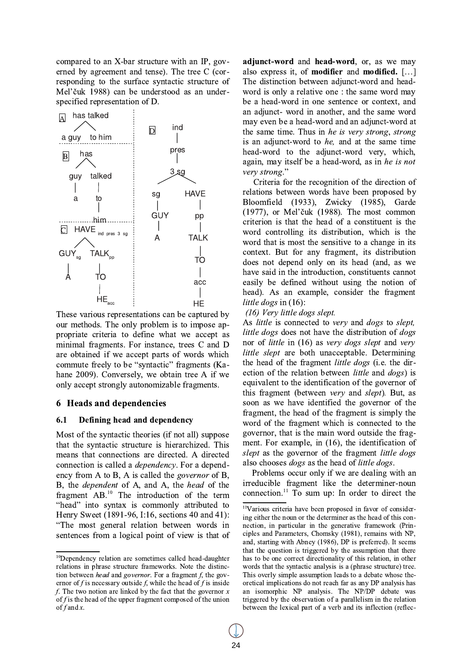compared to an X-bar structure with an IP, governed by agreement and tense). The tree C (corresponding to the surface syntactic structure of Mel'čuk 1988) can be understood as an underspecified representation of D.



These various representations can be captured by our methods. The only problem is to impose appropriate criteria to define what we accept as minimal fragments. For instance, trees C and D are obtained if we accept parts of words which commute freely to be "syntactic" fragments (Kahane 2009). Conversely, we obtain tree A if we only accept strongly autonomizable fragments.

# 6 Heads and dependencies

#### 6.1 Defining head and dependency

Most of the syntactic theories (if not all) suppose that the syntactic structure is hierarchized. This means that connections are directed. A directed connection is called a dependency. For a dependency from A to B, A is called the governor of B, B, the dependent of A, and A, the head of the fragment AB.<sup>10</sup> The introduction of the term "head" into syntax is commonly attributed to Henry Sweet (1891-96, I:16, sections 40 and 41): The most general relation between words in sentences from a logical point of view is that of adjunct-word and head-word, or, as we may also express it, of **modifier** and **modified.**  $[\dots]$ The distinction between adjunct-word and headword is only a relative one : the same word may be a head-word in one sentence or context, and an adjunct- word in another, and the same word may even be a head-word and an adjunct-word at the same time. Thus in he is very strong, strong is an adjunct-word to he, and at the same time head-word to the adjunct-word very, which, again, may itself be a head-word, as in he is not very strong.

Criteria for the recognition of the direction of relations between words have been proposed by Bloomfield (1933), Zwicky (1985), Garde  $(1977)$ , or Mel'čuk  $(1988)$ . The most common criterion is that the head of a constituent is the word controlling its distribution, which is the word that is most the sensitive to a change in its context. But for any fragment, its distribution does not depend only on its head (and, as we have said in the introduction, constituents cannot easily be defined without using the notion of head). As an example, consider the fragment little dogs in (16):

(16) Very little dogs slept.

As *little* is connected to *very* and *dogs* to *slept*, little dogs does not have the distribution of dogs nor of little in (16) as very dogs slept and very little slept are both unacceptable. Determining the head of the fragment little dogs (i.e. the direction of the relation between *little* and *dogs*) is equivalent to the identification of the governor of this fragment (between very and slept). But, as soon as we have identified the governor of the fragment, the head of the fragment is simply the word of the fragment which is connected to the governor, that is the main word outside the fragment. For example, in (16), the identification of slept as the governor of the fragment little dogs also chooses dogs as the head of little dogs.

Problems occur only if we are dealing with an irreducible fragment like the determiner-noun connection.<sup>11</sup> To sum up: In order to direct the

<sup>10</sup>Dependency relation are sometimes called head-daughter relations in phrase structure frameworks. Note the distinction between *head* and *governor*. For a fragment  $f$ , the governor of f is necessary outside f, while the head of f is inside f. The two notion are linked by the fact that the governor  $x$ of  $f$  is the head of the upper fragment composed of the union of  $f$  and  $x$ .

<sup>11</sup>Various criteria have been proposed in favor of considering either the noun or the determiner as the head of this connection, in particular in the generative framework (Principles and Parameters, Chomsky (1981), remains with NP, and, starting with Abney (1986), DP is preferred). It seems that the question is triggered by the assumption that there has to be one correct directionality of this relation, in other words that the syntactic analysis is a (phrase structure) tree. This overly simple assumption leads to a debate whose theoretical implications do not reach far as any DP analysis has an isomorphic NP analysis. The NP/DP debate was triggered by the observation of a parallelism in the relation between the lexical part of a verb and its inflection (reflec-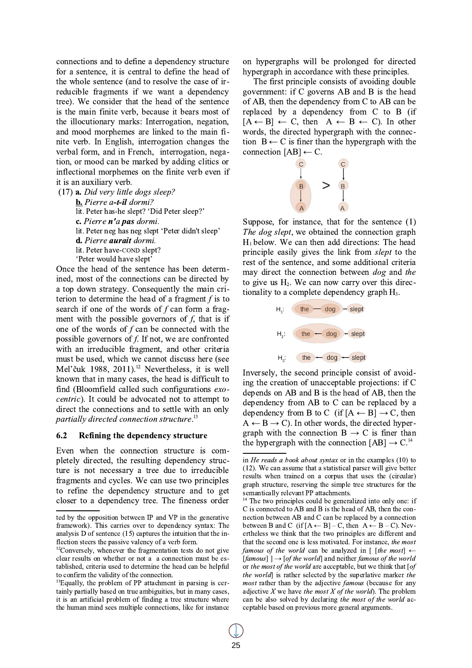connections and to define a dependency structure for a sentence, it is central to define the head of the whole sentence (and to resolve the case of irreducible fragments if we want a dependency tree). We consider that the head of the sentence is the main finite verb, because it bears most of the illocutionary marks: Interrogation, negation, and mood morphemes are linked to the main finite verb. In English, interrogation changes the verbal form, and in French, interrogation, negation, or mood can be marked by adding clitics or inflectional morphemes on the finite verb even if it is an auxiliary verb.

(17) a. Did very little dogs sleep?

b. Pierre a-t-il dormi? lit. Peter has-he slept? 'Did Peter sleep?' c. Pierre n'a pas dormi. lit. Peter neg has neg slept 'Peter didn't sleep' d. Pierre aurait dormi. lit. Peter have-COND slept? 'Peter would have slept'

Once the head of the sentence has been determined, most of the connections can be directed by a top down strategy. Consequently the main criterion to determine the head of a fragment  $f$  is to search if one of the words of  $f$  can form a fragment with the possible governors of  $f$ , that is if one of the words of  $f$  can be connected with the possible governors of f. If not, we are confronted with an irreducible fragment, and other criteria must be used, which we cannot discuss here (see Mel'čuk 1988, 2011).<sup>12</sup> Nevertheless, it is well known that in many cases, the head is difficult to find (Bloomfield called such configurations exocentric). It could be advocated not to attempt to direct the connections and to settle with an only partially directed connection structure.<sup>13</sup>

#### 6.2 Refining the dependency structure

Even when the connection structure is completely directed, the resulting dependency structure is not necessary a tree due to irreducible fragments and cycles. We can use two principles to refine the dependency structure and to get closer to a dependency tree. The fineness order on hypergraphs will be prolonged for directed hypergraph in accordance with these principles.

The first principle consists of avoiding double government: if C governs AB and B is the head of AB, then the dependency from C to AB can be replaced by a dependency from C to B (if  $[A \leftarrow B] \leftarrow C$ , then  $A \leftarrow B \leftarrow C$ ). In other words, the directed hypergraph with the connection  $B \leftarrow C$  is finer than the hypergraph with the connection  $[AB] \leftarrow C$ .



Suppose, for instance, that for the sentence (1) The dog slept, we obtained the connection graph  $H_1$  below. We can then add directions: The head principle easily gives the link from slept to the rest of the sentence, and some additional criteria may direct the connection between dog and the to give us  $H_2$ . We can now carry over this directionality to a complete dependency graph H3.



Inversely, the second principle consist of avoiding the creation of unacceptable projections: if C depends on AB and B is the head of AB, then the dependency from AB to C can be replaced by a dependency from B to C (if  $[A \leftarrow B] \rightarrow C$ , then  $A \leftarrow B \rightarrow C$ ). In other words, the directed hypergraph with the connection  $B \rightarrow C$  is finer than the hypergraph with the connection  $[AB] \rightarrow C$ .<sup>14</sup>

ted by the opposition between IP and VP in the generative framework). This carries over to dependency syntax: The analysis D of sentence (15) captures the intuition that the inflection steers the passive valency of a verb form.

<sup>&</sup>lt;sup>12</sup>Conversely, whenever the fragmentation tests do not give clear results on whether or not a a connection must be established, criteria used to determine the head can be helpful to confirm the validity of the connection.

 $13$ Equally, the problem of PP attachment in parsing is certainly partially based on true ambiguities, but in many cases, it is an artificial problem of finding a tree structure where the human mind sees multiple connections, like for instance

in He reads a book about syntax or in the examples (10) to (12). We can assume that a statistical parser will give better results when trained on a corpus that uses the (circular) graph structure, reserving the simple tree structures for the semantically relevant PP attachments.

 $14$  The two principles could be generalized into only one: if C is connected to AB and B is the head of AB, then the connection between AB and C can be replaced by a connection between B and C (if  $[A \leftarrow B] - C$ , then  $A \leftarrow B - C$ ). Nevertheless we think that the two principles are different and that the second one is less motivated. For instance, the most famous of the world can be analyzed in  $\lceil$  [the most]  $\leftarrow$  $[\text{famous}]$   $] \rightarrow [\text{of the world}]$  and neither famous of the world or the most of the world are acceptable, but we think that [of the world] is rather selected by the superlative marker the most rather than by the adjective *famous* (because for any adjective  $X$  we have the most  $X$  of the world). The problem can be also solved by declaring the most of the world acceptable based on previous more general arguments.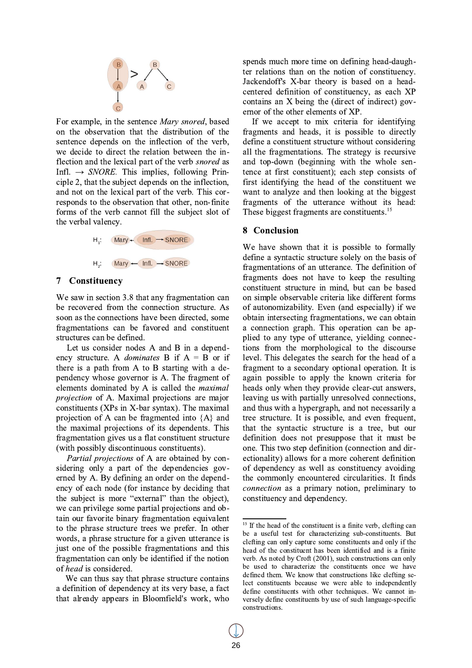

For example, in the sentence Mary snored, based on the observation that the distribution of the sentence depends on the inflection of the verb, we decide to direct the relation between the inflection and the lexical part of the verb snored as Infl.  $\rightarrow$  SNORE. This implies, following Principle 2, that the subject depends on the inflection, and not on the lexical part of the verb. This corresponds to the observation that other, non-finite forms of the verb cannot fill the subject slot of the verbal valency.



# 7 Constituency

We saw in section 3.8 that any fragmentation can be recovered from the connection structure. As soon as the connections have been directed, some fragmentations can be favored and constituent structures can be defined.

Let us consider nodes A and B in a dependency structure. A *dominates*  $B$  if  $A = B$  or if there is a path from A to B starting with a dependency whose governor is A. The fragment of elements dominated by A is called the maximal projection of A. Maximal projections are major constituents (XPs in X-bar syntax). The maximal projection of A can be fragmented into {A} and the maximal projections of its dependents. This fragmentation gives us a flat constituent structure (with possibly discontinuous constituents).

Partial projections of A are obtained by considering only a part of the dependencies governed by A. By defining an order on the dependency of each node (for instance by deciding that the subject is more "external" than the object), we can privilege some partial projections and obtain our favorite binary fragmentation equivalent to the phrase structure trees we prefer. In other words, a phrase structure for a given utterance is just one of the possible fragmentations and this fragmentation can only be identified if the notion of head is considered.

We can thus say that phrase structure contains a definition of dependency at its very base, a fact that already appears in Bloomfield's work, who spends much more time on defining head-daughter relations than on the notion of constituency. Jackendoff's X-bar theory is based on a headcentered definition of constituency, as each XP contains an X being the (direct of indirect) governor of the other elements of XP.

If we accept to mix criteria for identifying fragments and heads, it is possible to directly define a constituent structure without considering all the fragmentations. The strategy is recursive and top-down (beginning with the whole sentence at first constituent); each step consists of first identifying the head of the constituent we want to analyze and then looking at the biggest fragments of the utterance without its head: These biggest fragments are constituents.<sup>15</sup>

# 8 Conclusion

We have shown that it is possible to formally define a syntactic structure solely on the basis of fragmentations of an utterance. The definition of fragments does not have to keep the resulting constituent structure in mind, but can be based on simple observable criteria like different forms of autonomizability. Even (and especially) if we obtain intersecting fragmentations, we can obtain a connection graph. This operation can be applied to any type of utterance, yielding connections from the morphological to the discourse level. This delegates the search for the head of a fragment to a secondary optional operation. It is again possible to apply the known criteria for heads only when they provide clear-cut answers, leaving us with partially unresolved connections, and thus with a hypergraph, and not necessarily a tree structure. It is possible, and even frequent, that the syntactic structure is a tree, but our definition does not presuppose that it must be one. This two step definition (connection and directionality) allows for a more coherent definition of dependency as well as constituency avoiding the commonly encountered circularities. It finds connection as a primary notion, preliminary to constituency and dependency.

<sup>&</sup>lt;sup>15</sup> If the head of the constituent is a finite verb, clefting can be a useful test for characterizing sub-constituents. But clefting can only capture some constituents and only if the head of the constituent has been identified and is a finite verb. As noted by Croft (2001), such constructions can only be used to characterize the constituents once we have defined them. We know that constructions like clefting select constituents because we were able to independently define constituents with other techniques. We cannot inversely define constituents by use of such language-specific constructions.